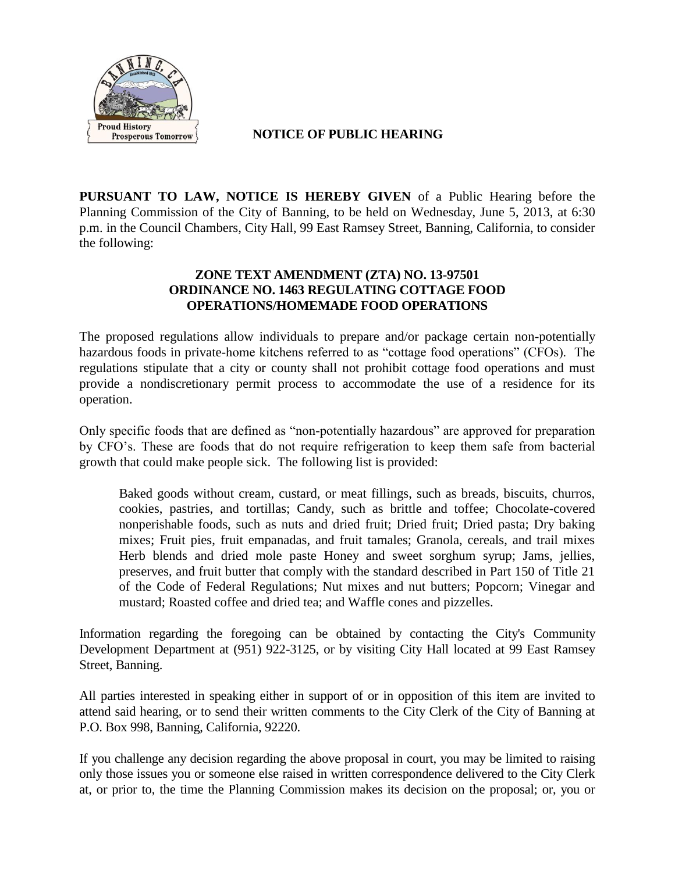

 **NOTICE OF PUBLIC HEARING**

**PURSUANT TO LAW, NOTICE IS HEREBY GIVEN** of a Public Hearing before the Planning Commission of the City of Banning, to be held on Wednesday, June 5, 2013, at 6:30 p.m. in the Council Chambers, City Hall, 99 East Ramsey Street, Banning, California, to consider the following:

## **ZONE TEXT AMENDMENT (ZTA) NO. 13-97501 ORDINANCE NO. 1463 REGULATING COTTAGE FOOD OPERATIONS/HOMEMADE FOOD OPERATIONS**

The proposed regulations allow individuals to prepare and/or package certain non-potentially hazardous foods in private-home kitchens referred to as "cottage food operations" (CFOs). The regulations stipulate that a city or county shall not prohibit cottage food operations and must provide a nondiscretionary permit process to accommodate the use of a residence for its operation.

Only specific foods that are defined as "non-potentially hazardous" are approved for preparation by CFO's. These are foods that do not require refrigeration to keep them safe from bacterial growth that could make people sick. The following list is provided:

Baked goods without cream, custard, or meat fillings, such as breads, biscuits, churros, cookies, pastries, and tortillas; Candy, such as brittle and toffee; Chocolate-covered nonperishable foods, such as nuts and dried fruit; Dried fruit; Dried pasta; Dry baking mixes; Fruit pies, fruit empanadas, and fruit tamales; Granola, cereals, and trail mixes Herb blends and dried mole paste Honey and sweet sorghum syrup; Jams, jellies, preserves, and fruit butter that comply with the standard described in Part 150 of Title 21 of the Code of Federal Regulations; Nut mixes and nut butters; Popcorn; Vinegar and mustard; Roasted coffee and dried tea; and Waffle cones and pizzelles.

Information regarding the foregoing can be obtained by contacting the City's Community Development Department at (951) 922-3125, or by visiting City Hall located at 99 East Ramsey Street, Banning.

All parties interested in speaking either in support of or in opposition of this item are invited to attend said hearing, or to send their written comments to the City Clerk of the City of Banning at P.O. Box 998, Banning, California, 92220.

If you challenge any decision regarding the above proposal in court, you may be limited to raising only those issues you or someone else raised in written correspondence delivered to the City Clerk at, or prior to, the time the Planning Commission makes its decision on the proposal; or, you or